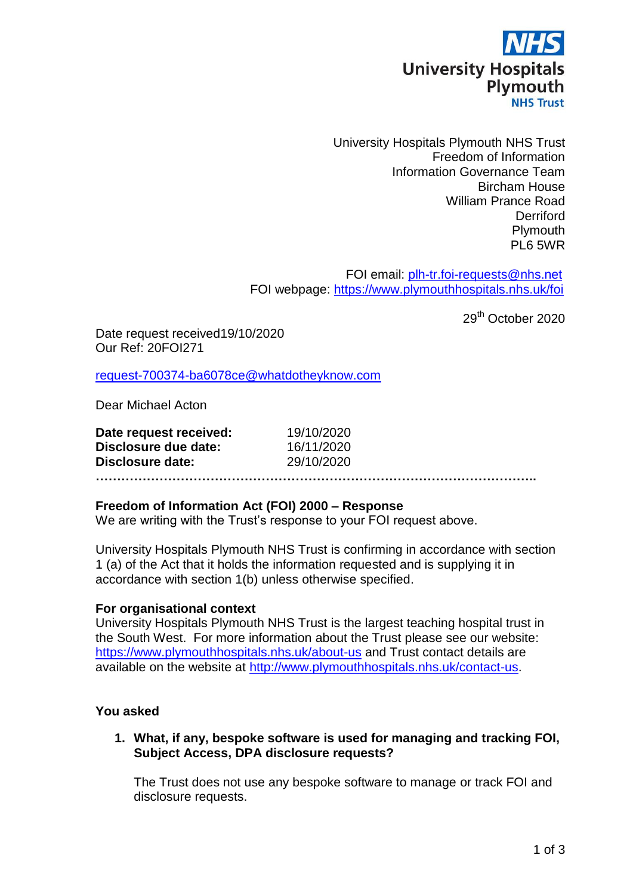

University Hospitals Plymouth NHS Trust Freedom of Information Information Governance Team Bircham House William Prance Road **Derriford Plymouth** PL6 5WR

 FOI email: [plh-tr.foi-requests@nhs.net](mailto:xxxxxx.xxxxxxxxxxxx@xxx.xxx) FOI webpage:<https://www.plymouthhospitals.nhs.uk/foi>

29<sup>th</sup> October 2020

Date request received19/10/2020 Our Ref: 20FOI271

[request-700374-ba6078ce@whatdotheyknow.com](mailto:xxxxxxxxxxxxxxxxxxxxxxx@xxxxxxxxxxxxxx.xxx)

Dear Michael Acton

| Date request received: | 19/10/2020 |  |
|------------------------|------------|--|
| Disclosure due date:   | 16/11/2020 |  |
| Disclosure date:       | 29/10/2020 |  |
|                        |            |  |

### **Freedom of Information Act (FOI) 2000 – Response**

We are writing with the Trust's response to your FOI request above.

University Hospitals Plymouth NHS Trust is confirming in accordance with section 1 (a) of the Act that it holds the information requested and is supplying it in accordance with section 1(b) unless otherwise specified.

### **For organisational context**

University Hospitals Plymouth NHS Trust is the largest teaching hospital trust in the South West. For more information about the Trust please see our website: <https://www.plymouthhospitals.nhs.uk/about-us> and Trust contact details are available on the website at [http://www.plymouthhospitals.nhs.uk/contact-us.](http://www.plymouthhospitals.nhs.uk/contact-us)

# **You asked**

**1. What, if any, bespoke software is used for managing and tracking FOI, Subject Access, DPA disclosure requests?**

The Trust does not use any bespoke software to manage or track FOI and disclosure requests.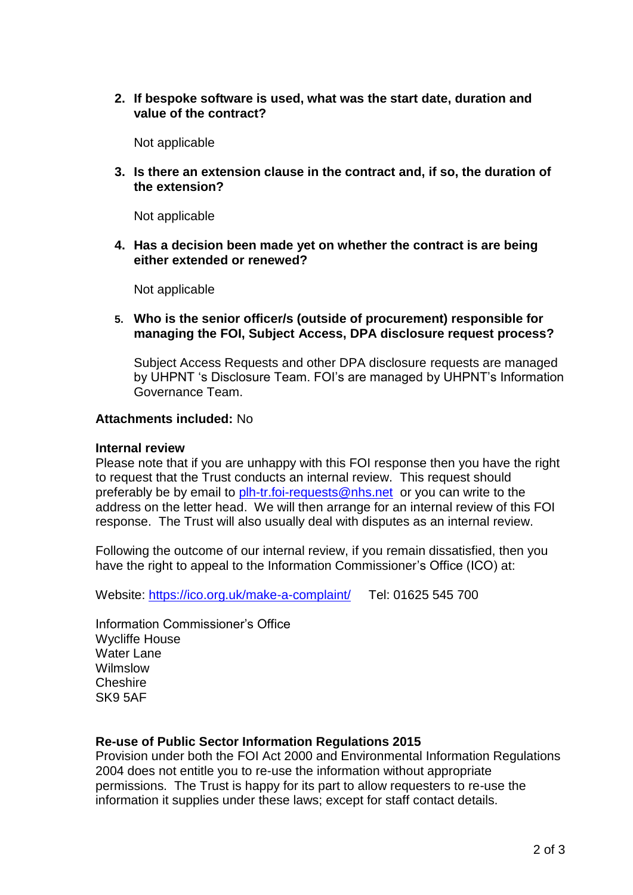**2. If bespoke software is used, what was the start date, duration and value of the contract?** 

Not applicable

**3. Is there an extension clause in the contract and, if so, the duration of the extension?**

Not applicable

**4. Has a decision been made yet on whether the contract is are being either extended or renewed?**

Not applicable

**5. Who is the senior officer/s (outside of procurement) responsible for managing the FOI, Subject Access, DPA disclosure request process?**

Subject Access Requests and other DPA disclosure requests are managed by UHPNT 's Disclosure Team. FOI's are managed by UHPNT's Information Governance Team.

## **Attachments included:** No

### **Internal review**

Please note that if you are unhappy with this FOI response then you have the right to request that the Trust conducts an internal review. This request should preferably be by email to [plh-tr.foi-requests@nhs.net](mailto:xxxxxx.xxxxxxxxxxxx@xxx.xxx) or you can write to the address on the letter head. We will then arrange for an internal review of this FOI response. The Trust will also usually deal with disputes as an internal review.

Following the outcome of our internal review, if you remain dissatisfied, then you have the right to appeal to the Information Commissioner's Office (ICO) at:

Website:<https://ico.org.uk/make-a-complaint/>Tel: 01625 545 700

Information Commissioner's Office Wycliffe House Water Lane Wilmslow Cheshire SK9 5AF

# **Re-use of Public Sector Information Regulations 2015**

Provision under both the FOI Act 2000 and Environmental Information Regulations 2004 does not entitle you to re-use the information without appropriate permissions. The Trust is happy for its part to allow requesters to re-use the information it supplies under these laws; except for staff contact details.